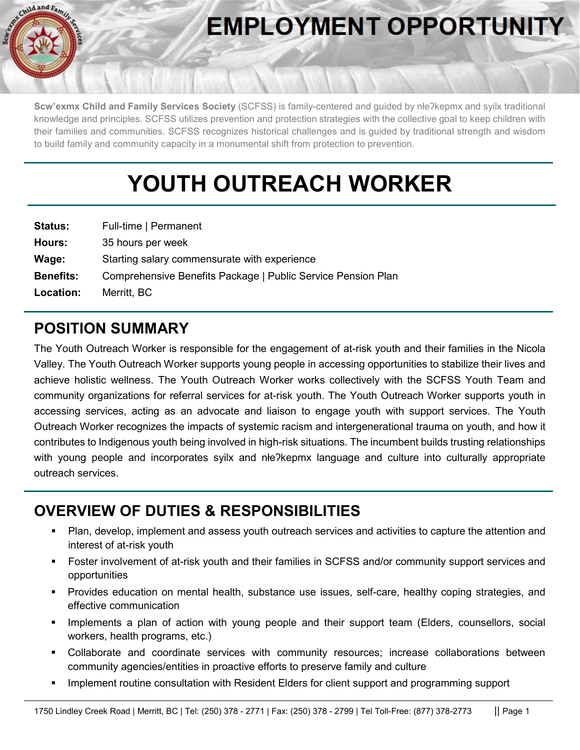

# **EMPLOYMENT OPPORTUNITY**

**Scw'exmx Child and Family Services Society** (SCFSS) is family-centered and guided by nłeʔkepmx and syilx traditional knowledge and principles. SCFSS utilizes prevention and protection strategies with the collective goal to keep children with their families and communities. SCFSS recognizes historical challenges and is guided by traditional strength and wisdom to build family and community capacity in a monumental shift from protection to prevention.

## **YOUTH OUTREACH WORKER**

| <b>Status:</b>   | Full-time   Permanent                                        |
|------------------|--------------------------------------------------------------|
| Hours:           | 35 hours per week                                            |
| Wage:            | Starting salary commensurate with experience                 |
| <b>Benefits:</b> | Comprehensive Benefits Package   Public Service Pension Plan |
| Location:        | Merritt, BC                                                  |

#### **POSITION SUMMARY**

The Youth Outreach Worker is responsible for the engagement of at-risk youth and their families in the Nicola Valley. The Youth Outreach Worker supports young people in accessing opportunities to stabilize their lives and achieve holistic wellness. The Youth Outreach Worker works collectively with the SCFSS Youth Team and community organizations for referral services for at-risk youth. The Youth Outreach Worker supports youth in accessing services, acting as an advocate and liaison to engage youth with support services. The Youth Outreach Worker recognizes the impacts of systemic racism and intergenerational trauma on youth, and how it contributes to Indigenous youth being involved in high-risk situations. The incumbent builds trusting relationships with young people and incorporates syilx and nłe?kepmx language and culture into culturally appropriate outreach services.

#### **OVERVIEW OF DUTIES & RESPONSIBILITIES**

- Plan, develop, implement and assess youth outreach services and activities to capture the attention and interest of at-risk youth
- Foster involvement of at-risk youth and their families in SCFSS and/or community support services and opportunities
- Provides education on mental health, substance use issues, self-care, healthy coping strategies, and effective communication
- Implements a plan of action with young people and their support team (Elders, counsellors, social workers, health programs, etc.)
- Collaborate and coordinate services with community resources; increase collaborations between community agencies/entities in proactive efforts to preserve family and culture
- Implement routine consultation with Resident Elders for client support and programming support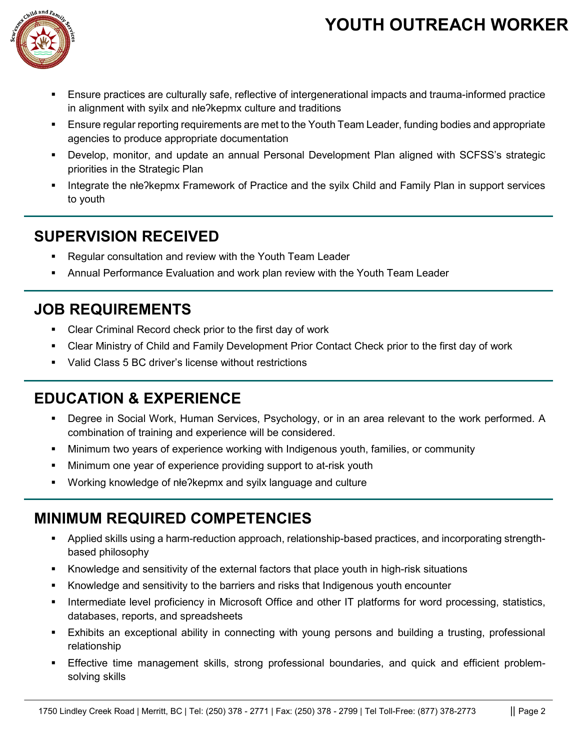### **YOUTH OUTREACH WORKER**



- Ensure practices are culturally safe, reflective of intergenerational impacts and trauma-informed practice in alignment with syilx and nłeʔkepmx culture and traditions
- **Ensure regular reporting requirements are met to the Youth Team Leader, funding bodies and appropriate** agencies to produce appropriate documentation
- Develop, monitor, and update an annual Personal Development Plan aligned with SCFSS's strategic priorities in the Strategic Plan
- Integrate the nłeʔkepmx Framework of Practice and the syilx Child and Family Plan in support services to youth

#### **SUPERVISION RECEIVED**

- Regular consultation and review with the Youth Team Leader
- Annual Performance Evaluation and work plan review with the Youth Team Leader

#### **JOB REQUIREMENTS**

- Clear Criminal Record check prior to the first day of work
- Clear Ministry of Child and Family Development Prior Contact Check prior to the first day of work
- Valid Class 5 BC driver's license without restrictions

#### **EDUCATION & EXPERIENCE**

- Degree in Social Work, Human Services, Psychology, or in an area relevant to the work performed. A combination of training and experience will be considered.
- Minimum two years of experience working with Indigenous youth, families, or community
- Minimum one year of experience providing support to at-risk youth
- Working knowledge of nłeʔkepmx and syilx language and culture

#### **MINIMUM REQUIRED COMPETENCIES**

- Applied skills using a harm-reduction approach, relationship-based practices, and incorporating strengthbased philosophy
- Knowledge and sensitivity of the external factors that place youth in high-risk situations
- Knowledge and sensitivity to the barriers and risks that Indigenous youth encounter
- Intermediate level proficiency in Microsoft Office and other IT platforms for word processing, statistics, databases, reports, and spreadsheets
- Exhibits an exceptional ability in connecting with young persons and building a trusting, professional relationship
- Effective time management skills, strong professional boundaries, and quick and efficient problemsolving skills